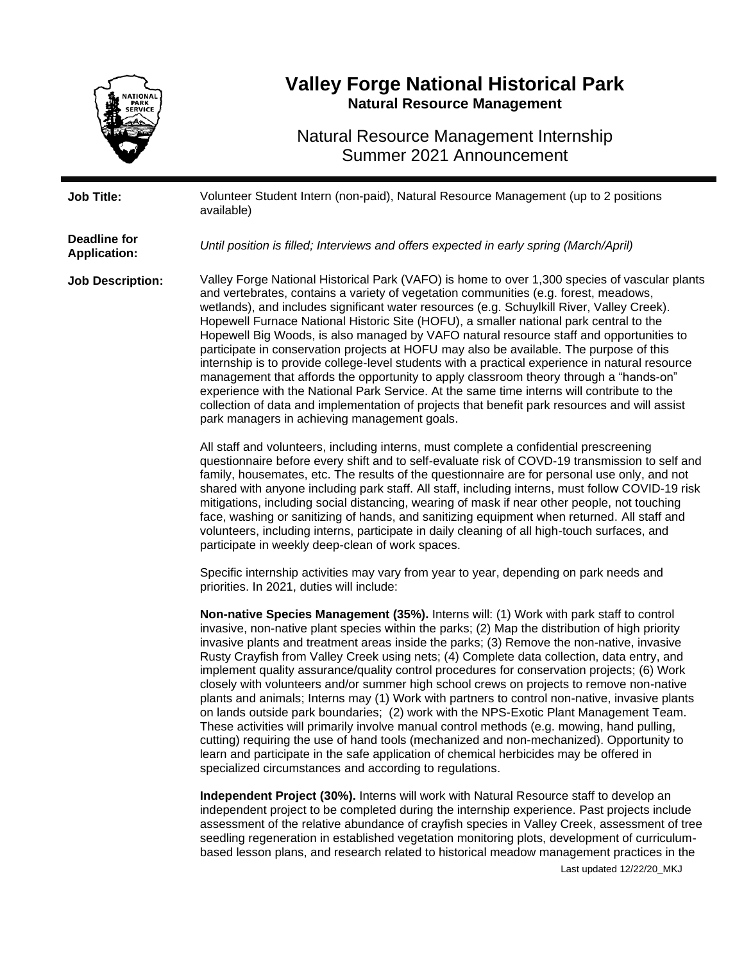

## **Valley Forge National Historical Park Natural Resource Management**

Natural Resource Management Internship Summer 2021 Announcement

| <b>Job Title:</b>                          | Volunteer Student Intern (non-paid), Natural Resource Management (up to 2 positions<br>available)                                                                                                                                                                                                                                                                                                                                                                                                                                                                                                                                                                                                                                                                                                                                                                                                                                                                                                                                                                                                                                                                                                                                                                                                                                                                                                                                                                                                                                                                                                                                                         |
|--------------------------------------------|-----------------------------------------------------------------------------------------------------------------------------------------------------------------------------------------------------------------------------------------------------------------------------------------------------------------------------------------------------------------------------------------------------------------------------------------------------------------------------------------------------------------------------------------------------------------------------------------------------------------------------------------------------------------------------------------------------------------------------------------------------------------------------------------------------------------------------------------------------------------------------------------------------------------------------------------------------------------------------------------------------------------------------------------------------------------------------------------------------------------------------------------------------------------------------------------------------------------------------------------------------------------------------------------------------------------------------------------------------------------------------------------------------------------------------------------------------------------------------------------------------------------------------------------------------------------------------------------------------------------------------------------------------------|
| <b>Deadline for</b><br><b>Application:</b> | Until position is filled; Interviews and offers expected in early spring (March/April)                                                                                                                                                                                                                                                                                                                                                                                                                                                                                                                                                                                                                                                                                                                                                                                                                                                                                                                                                                                                                                                                                                                                                                                                                                                                                                                                                                                                                                                                                                                                                                    |
| <b>Job Description:</b>                    | Valley Forge National Historical Park (VAFO) is home to over 1,300 species of vascular plants<br>and vertebrates, contains a variety of vegetation communities (e.g. forest, meadows,<br>wetlands), and includes significant water resources (e.g. Schuylkill River, Valley Creek).<br>Hopewell Furnace National Historic Site (HOFU), a smaller national park central to the<br>Hopewell Big Woods, is also managed by VAFO natural resource staff and opportunities to<br>participate in conservation projects at HOFU may also be available. The purpose of this<br>internship is to provide college-level students with a practical experience in natural resource<br>management that affords the opportunity to apply classroom theory through a "hands-on"<br>experience with the National Park Service. At the same time interns will contribute to the<br>collection of data and implementation of projects that benefit park resources and will assist<br>park managers in achieving management goals.                                                                                                                                                                                                                                                                                                                                                                                                                                                                                                                                                                                                                                           |
|                                            | All staff and volunteers, including interns, must complete a confidential prescreening<br>questionnaire before every shift and to self-evaluate risk of COVD-19 transmission to self and<br>family, housemates, etc. The results of the questionnaire are for personal use only, and not<br>shared with anyone including park staff. All staff, including interns, must follow COVID-19 risk<br>mitigations, including social distancing, wearing of mask if near other people, not touching<br>face, washing or sanitizing of hands, and sanitizing equipment when returned. All staff and<br>volunteers, including interns, participate in daily cleaning of all high-touch surfaces, and<br>participate in weekly deep-clean of work spaces.<br>Specific internship activities may vary from year to year, depending on park needs and                                                                                                                                                                                                                                                                                                                                                                                                                                                                                                                                                                                                                                                                                                                                                                                                                 |
|                                            | priorities. In 2021, duties will include:<br>Non-native Species Management (35%). Interns will: (1) Work with park staff to control<br>invasive, non-native plant species within the parks; (2) Map the distribution of high priority<br>invasive plants and treatment areas inside the parks; (3) Remove the non-native, invasive<br>Rusty Crayfish from Valley Creek using nets; (4) Complete data collection, data entry, and<br>implement quality assurance/quality control procedures for conservation projects; (6) Work<br>closely with volunteers and/or summer high school crews on projects to remove non-native<br>plants and animals; Interns may (1) Work with partners to control non-native, invasive plants<br>on lands outside park boundaries; (2) work with the NPS-Exotic Plant Management Team.<br>These activities will primarily involve manual control methods (e.g. mowing, hand pulling,<br>cutting) requiring the use of hand tools (mechanized and non-mechanized). Opportunity to<br>learn and participate in the safe application of chemical herbicides may be offered in<br>specialized circumstances and according to regulations.<br>Independent Project (30%). Interns will work with Natural Resource staff to develop an<br>independent project to be completed during the internship experience. Past projects include<br>assessment of the relative abundance of crayfish species in Valley Creek, assessment of tree<br>seedling regeneration in established vegetation monitoring plots, development of curriculum-<br>based lesson plans, and research related to historical meadow management practices in the |

Last updated 12/22/20\_MKJ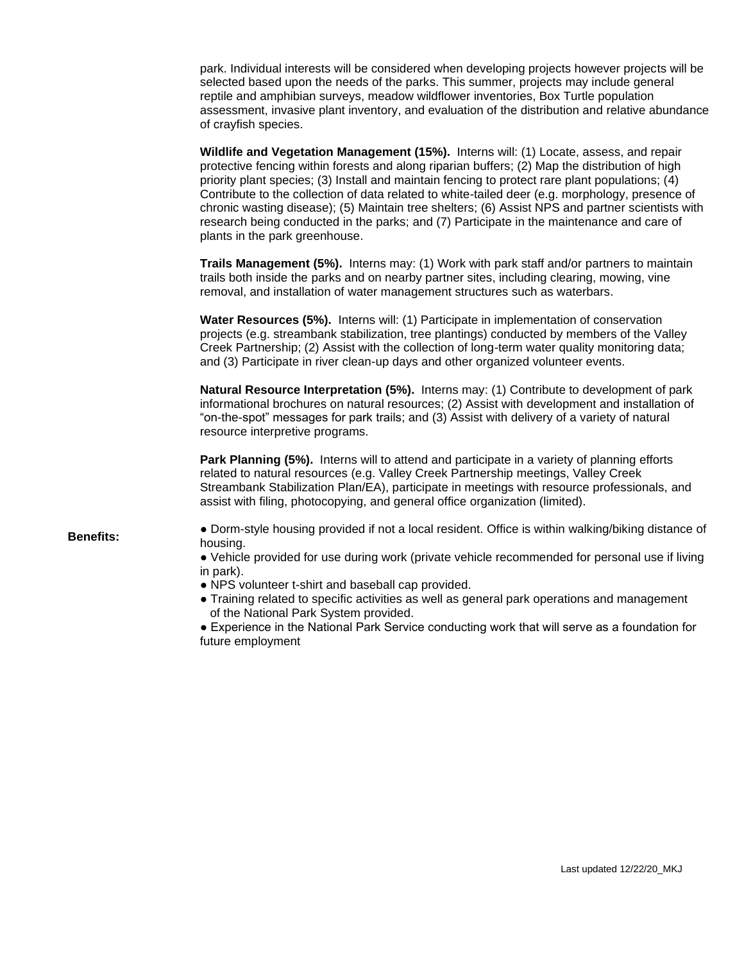park. Individual interests will be considered when developing projects however projects will be selected based upon the needs of the parks. This summer, projects may include general reptile and amphibian surveys, meadow wildflower inventories, Box Turtle population assessment, invasive plant inventory, and evaluation of the distribution and relative abundance of crayfish species.

**Wildlife and Vegetation Management (15%).** Interns will: (1) Locate, assess, and repair protective fencing within forests and along riparian buffers; (2) Map the distribution of high priority plant species; (3) Install and maintain fencing to protect rare plant populations; (4) Contribute to the collection of data related to white-tailed deer (e.g. morphology, presence of chronic wasting disease); (5) Maintain tree shelters; (6) Assist NPS and partner scientists with research being conducted in the parks; and (7) Participate in the maintenance and care of plants in the park greenhouse.

**Trails Management (5%).** Interns may: (1) Work with park staff and/or partners to maintain trails both inside the parks and on nearby partner sites, including clearing, mowing, vine removal, and installation of water management structures such as waterbars.

**Water Resources (5%).** Interns will: (1) Participate in implementation of conservation projects (e.g. streambank stabilization, tree plantings) conducted by members of the Valley Creek Partnership; (2) Assist with the collection of long-term water quality monitoring data; and (3) Participate in river clean-up days and other organized volunteer events.

**Natural Resource Interpretation (5%).** Interns may: (1) Contribute to development of park informational brochures on natural resources; (2) Assist with development and installation of "on-the-spot" messages for park trails; and (3) Assist with delivery of a variety of natural resource interpretive programs.

**Park Planning (5%).** Interns will to attend and participate in a variety of planning efforts related to natural resources (e.g. Valley Creek Partnership meetings, Valley Creek Streambank Stabilization Plan/EA), participate in meetings with resource professionals, and assist with filing, photocopying, and general office organization (limited).

**Benefits:** • Dorm-style housing provided if not a local resident. Office is within walking/biking distance of housing.

> ● Vehicle provided for use during work (private vehicle recommended for personal use if living in park).

- NPS volunteer t-shirt and baseball cap provided.
- Training related to specific activities as well as general park operations and management of the National Park System provided.

● Experience in the National Park Service conducting work that will serve as a foundation for future employment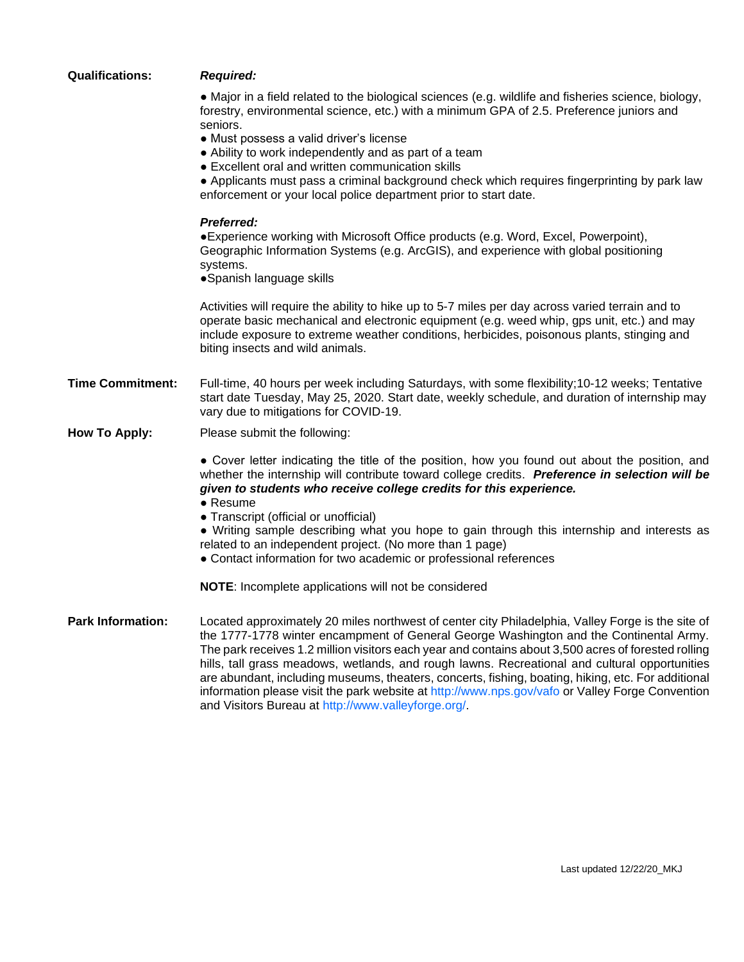| <b>Qualifications:</b>   | <b>Required:</b>                                                                                                                                                                                                                                                                                                                                                                                                                                                                                                                                                                                             |
|--------------------------|--------------------------------------------------------------------------------------------------------------------------------------------------------------------------------------------------------------------------------------------------------------------------------------------------------------------------------------------------------------------------------------------------------------------------------------------------------------------------------------------------------------------------------------------------------------------------------------------------------------|
|                          | • Major in a field related to the biological sciences (e.g. wildlife and fisheries science, biology,<br>forestry, environmental science, etc.) with a minimum GPA of 2.5. Preference juniors and<br>seniors.<br>• Must possess a valid driver's license<br>• Ability to work independently and as part of a team<br>• Excellent oral and written communication skills<br>• Applicants must pass a criminal background check which requires fingerprinting by park law<br>enforcement or your local police department prior to start date.                                                                    |
|                          | <b>Preferred:</b><br>• Experience working with Microsoft Office products (e.g. Word, Excel, Powerpoint),<br>Geographic Information Systems (e.g. ArcGIS), and experience with global positioning<br>systems.<br>• Spanish language skills                                                                                                                                                                                                                                                                                                                                                                    |
|                          | Activities will require the ability to hike up to 5-7 miles per day across varied terrain and to<br>operate basic mechanical and electronic equipment (e.g. weed whip, gps unit, etc.) and may<br>include exposure to extreme weather conditions, herbicides, poisonous plants, stinging and<br>biting insects and wild animals.                                                                                                                                                                                                                                                                             |
| <b>Time Commitment:</b>  | Full-time, 40 hours per week including Saturdays, with some flexibility; 10-12 weeks; Tentative<br>start date Tuesday, May 25, 2020. Start date, weekly schedule, and duration of internship may<br>vary due to mitigations for COVID-19.                                                                                                                                                                                                                                                                                                                                                                    |
| <b>How To Apply:</b>     | Please submit the following:                                                                                                                                                                                                                                                                                                                                                                                                                                                                                                                                                                                 |
|                          | • Cover letter indicating the title of the position, how you found out about the position, and<br>whether the internship will contribute toward college credits. Preference in selection will be<br>given to students who receive college credits for this experience.<br>• Resume<br>• Transcript (official or unofficial)                                                                                                                                                                                                                                                                                  |
|                          | • Writing sample describing what you hope to gain through this internship and interests as<br>related to an independent project. (No more than 1 page)<br>• Contact information for two academic or professional references                                                                                                                                                                                                                                                                                                                                                                                  |
|                          | NOTE: Incomplete applications will not be considered                                                                                                                                                                                                                                                                                                                                                                                                                                                                                                                                                         |
| <b>Park Information:</b> | Located approximately 20 miles northwest of center city Philadelphia, Valley Forge is the site of<br>the 1777-1778 winter encampment of General George Washington and the Continental Army.<br>The park receives 1.2 million visitors each year and contains about 3,500 acres of forested rolling<br>hills, tall grass meadows, wetlands, and rough lawns. Recreational and cultural opportunities<br>are abundant, including museums, theaters, concerts, fishing, boating, hiking, etc. For additional<br>information please visit the park website at http://www.nps.gov/vafo or Valley Forge Convention |

and Visitors Bureau at http://www.valleyforge.org/.